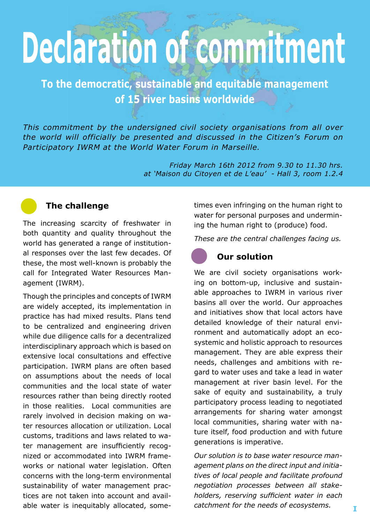# **Declaration of commitment**

**To the democratic, sustainable and equitable management of 15 river basins worldwide** 

*This commitment by the undersigned civil society organisations from all over the world will officially be presented and discussed in the Citizen's Forum on Participatory IWRM at the World Water Forum in Marseille.*

> *Friday March 16th 2012 from 9.30 to 11.30 hrs. at 'Maison du Citoyen et de L'eau' - Hall 3, room 1.2.4*



#### **The challenge**

The increasing scarcity of freshwater in both quantity and quality throughout the world has generated a range of institutional responses over the last few decades. Of these, the most well-known is probably the call for Integrated Water Resources Management (IWRM).

Though the principles and concepts of IWRM are widely accepted, its implementation in practice has had mixed results. Plans tend to be centralized and engineering driven while due diligence calls for a decentralized interdisciplinary approach which is based on extensive local consultations and effective participation. IWRM plans are often based on assumptions about the needs of local communities and the local state of water resources rather than being directly rooted in those realities. Local communities are rarely involved in decision making on water resources allocation or utilization. Local customs, traditions and laws related to water management are insufficiently recognized or accommodated into IWRM frameworks or national water legislation. Often concerns with the long-term environmental sustainability of water management practices are not taken into account and available water is inequitably allocated, sometimes even infringing on the human right to water for personal purposes and undermining the human right to (produce) food.

*These are the central challenges facing us.*

#### **Our solution**

We are civil society organisations working on bottom-up, inclusive and sustainable approaches to IWRM in various river basins all over the world. Our approaches and initiatives show that local actors have detailed knowledge of their natural environment and automatically adopt an ecosystemic and holistic approach to resources management. They are able express their needs, challenges and ambitions with regard to water uses and take a lead in water management at river basin level. For the sake of equity and sustainability, a truly participatory process leading to negotiated arrangements for sharing water amongst local communities, sharing water with nature itself, food production and with future generations is imperative.

*Our solution is to base water resource management plans on the direct input and initiatives of local people and facilitate profound negotiation processes between all stakeholders, reserving sufficient water in each catchment for the needs of ecosystems.*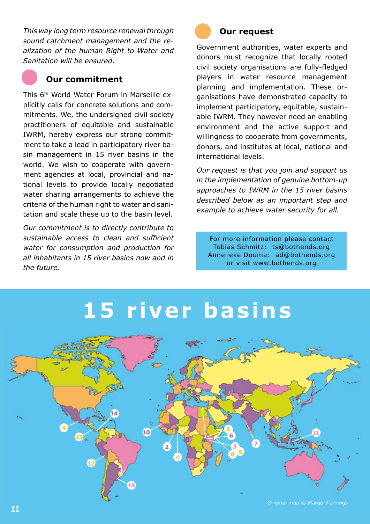*This way long term resource renewal through sound catchment management and the realization of the human Right to Water and Sanitation will be ensured.* 



#### **Our commitment**

This 6th World Water Forum in Marseille explicitly calls for concrete solutions and commitments. We, the undersigned civil society practitioners of equitable and sustainable IWRM, hereby express our strong commitment to take a lead in participatory river basin management in 15 river basins in the world. We wish to cooperate with government agencies at local, provincial and national levels to provide locally negotiated water sharing arrangements to achieve the criteria of the human right to water and sanitation and scale these up to the basin level.

*Our commitment is to directly contribute to sustainable access to clean and sufficient water for consumption and production for all inhabitants in 15 river basins now and in the future.*



#### **Our request**

Government authorities, water experts and donors must recognize that locally rooted civil society organisations are fully-fledged players in water resource management planning and implementation. These organisations have demonstrated capacity to implement participatory, equitable, sustainable IWRM. They however need an enabling environment and the active support and willingness to cooperate from governments, donors, and institutes at local, national and international levels.

*Our request is that you join and support us in the implementation of genuine bottom-up approaches to IWRM in the 15 river basins described below as an important step and example to achieve water security for all.* 

For more information please contact Tobias Schmitz: ts@bothends.org Annelieke Douma: ad@bothends.org or visit www.bothends.org

## **15 river basins**

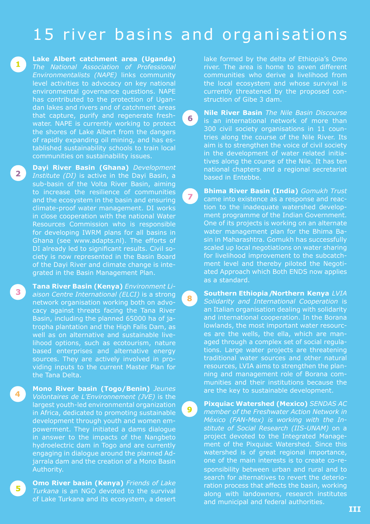### 15 river basins and organisations

6

 $\overline{z}$ 

8

 $\bullet$ 

**Lake Albert catchment area (Uganda)** *The National Association of Professional Environmentalists (NAPE)* links community level activities to advocacy on key national environmental governance questions. NAPE has contributed to the protection of Ugandan lakes and rivers and of catchment areas that capture, purify and regenerate freshwater. NAPE is currently working to protect the shores of Lake Albert from the dangers of rapidly expanding oil mining, and has established sustainability schools to train local communities on sustainability issues.

 $\mathbf{1}$ 

 $\overline{\mathbf{2}}$ 

 $\mathbf{3}$ 

 $5<sup>1</sup>$ 

**Dayi River Basin (Ghana)** *Development Institute (DI)* is active in the Dayi Basin, a sub-basin of the Volta River Basin, aiming to increase the resilience of communities and the ecosystem in the basin and ensuring climate-proof water management. DI works in close cooperation with the national Water Resources Commission who is responsible for developing IWRM plans for all basins in Ghana (see www.adapts.nl). The efforts of DI already led to significant results. Civil society is now represented in the Basin Board of the Dayi River and climate change is integrated in the Basin Management Plan.

**Tana River Basin (Kenya)** *Environment Liaison Centre International (ELCI)* is a strong network organisation working both on advocacy against threats facing the Tana River Basin, including the planned 65000 ha of jatropha plantation and the High Falls Dam, as well as on alternative and sustainable livelihood options, such as ecotourism, nature based enterprises and alternative energy sources. They are actively involved in providing inputs to the current Master Plan for the Tana Delta.

**Mono River basin (Togo/Benin)** *Jeunes Volontaires de L'Environnement (JVE)* is the largest youth-led environmental organization in Africa, dedicated to promoting sustainable development through youth and women empowerment. They initiated a dams dialogue in answer to the impacts of the Nangbeto hydroelectric dam in Togo and are currently engaging in dialogue around the planned Adjarrala dam and the creation of a Mono Basin Authority.

**Omo River basin (Kenya)** *Friends of Lake Turkana* is an NGO devoted to the survival of Lake Turkana and its ecosystem, a desert

lake formed by the delta of Ethiopia's Omo river. The area is home to seven different communities who derive a livelihood from the local ecosystem and whose survival is currently threatened by the proposed construction of Gibe 3 dam.

**Nile River Basin** *The Nile Basin Discourse*  is an international network of more than 300 civil society organisations in 11 countries along the course of the Nile River. Its aim is to strengthen the voice of civil society in the development of water related initiatives along the course of the Nile. It has ten national chapters and a regional secretariat based in Entebbe.

**Bhima River Basin (India)** *Gomukh Trust* came into existence as a response and reaction to the inadequate watershed development programme of the Indian Government. One of its projects is working on an alternate water management plan for the Bhima Basin in Maharashtra. Gomukh has successfully scaled up local negotiations on water sharing for livelihood improvement to the subcatchment level and thereby piloted the Negotiated Approach which Both ENDS now applies as a standard.

**Southern Ethiopia / Northern Kenya** *LVIA Solidarity and International Cooperation* is an Italian organisation dealing with solidarity and international cooperation. In the Borana lowlands, the most important water resources are the wells, the ella, which are managed through a complex set of social regulations. Large water projects are threatening traditional water sources and other natural resources, LVIA aims to strengthen the planning and management role of Borana communities and their institutions because the are the key to sustainable development.

**Pixquiac Watershed (Mexico)** *SENDAS AC member of the Freshwater Action Network in México (FAN-Mex) is working with the Institute of Social Research (IIS-UNAM)* on a project devoted to the Integrated Management of the Pixquiac Watershed. Since this watershed is of great regional importance, one of the main interests is to create co-responsibility between urban and rural and to search for alternatives to revert the deterioration process that affects the basin, working along with landowners, research institutes and municipal and federal authorities.